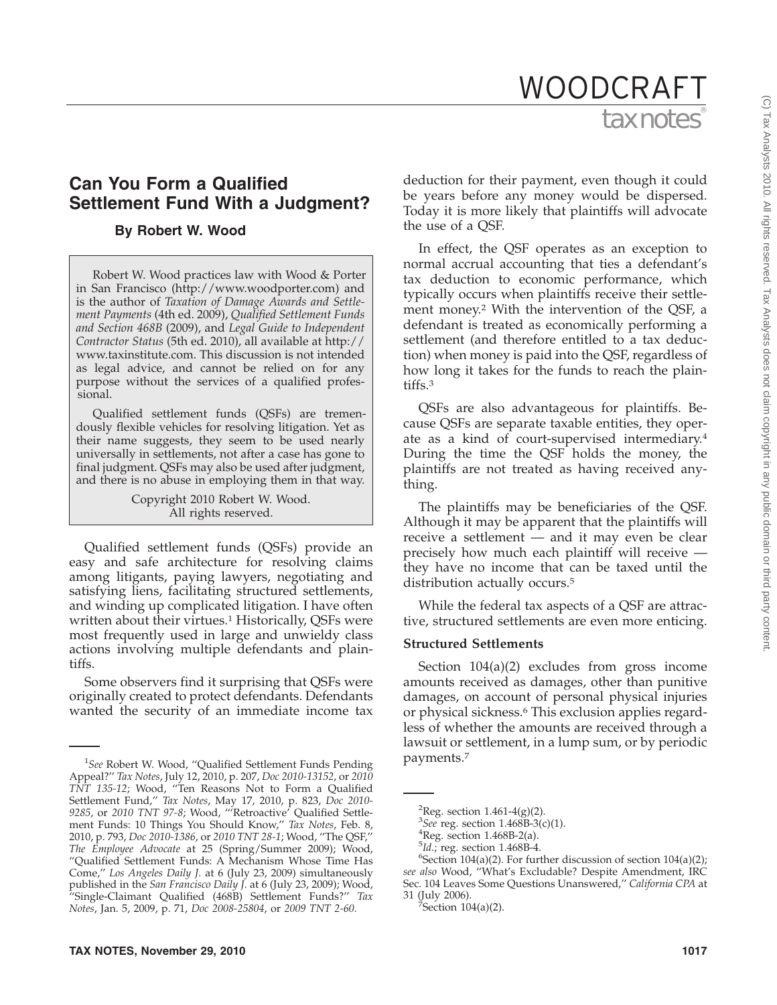# **Can You Form a Qualified Settlement Fund With a Judgment?**

# **By Robert W. Wood**

Robert W. Wood practices law with Wood & Porter in San Francisco (http://www.woodporter.com) and is the author of *Taxation of Damage Awards and Settlement Payments* (4th ed. 2009), *Qualified Settlement Funds and Section 468B* (2009), and *Legal Guide to Independent Contractor Status* (5th ed. 2010), all available at http:// www.taxinstitute.com. This discussion is not intended as legal advice, and cannot be relied on for any purpose without the services of a qualified professional.

Qualified settlement funds (QSFs) are tremendously flexible vehicles for resolving litigation. Yet as their name suggests, they seem to be used nearly universally in settlements, not after a case has gone to final judgment. QSFs may also be used after judgment, and there is no abuse in employing them in that way.

> Copyright 2010 Robert W. Wood. All rights reserved.

Qualified settlement funds (QSFs) provide an easy and safe architecture for resolving claims among litigants, paying lawyers, negotiating and satisfying liens, facilitating structured settlements, and winding up complicated litigation. I have often written about their virtues.<sup>1</sup> Historically, QSFs were most frequently used in large and unwieldy class actions involving multiple defendants and plaintiffs.

Some observers find it surprising that QSFs were originally created to protect defendants. Defendants wanted the security of an immediate income tax

deduction for their payment, even though it could be years before any money would be dispersed. Today it is more likely that plaintiffs will advocate the use of a QSF.

In effect, the QSF operates as an exception to normal accrual accounting that ties a defendant's tax deduction to economic performance, which typically occurs when plaintiffs receive their settlement money.2 With the intervention of the QSF, a defendant is treated as economically performing a settlement (and therefore entitled to a tax deduction) when money is paid into the QSF, regardless of how long it takes for the funds to reach the plaintiffs.3

QSFs are also advantageous for plaintiffs. Because QSFs are separate taxable entities, they operate as a kind of court-supervised intermediary.4 During the time the QSF holds the money, the plaintiffs are not treated as having received anything.

The plaintiffs may be beneficiaries of the QSF. Although it may be apparent that the plaintiffs will receive a settlement — and it may even be clear precisely how much each plaintiff will receive they have no income that can be taxed until the distribution actually occurs.5

While the federal tax aspects of a QSF are attractive, structured settlements are even more enticing.

## **Structured Settlements**

Section 104(a)(2) excludes from gross income amounts received as damages, other than punitive damages, on account of personal physical injuries or physical sickness.<sup>6</sup> This exclusion applies regardless of whether the amounts are received through a lawsuit or settlement, in a lump sum, or by periodic

<sup>&</sup>lt;sup>1</sup>See Robert W. Wood, "Qualified Settlement Funds Pending Payments.<sup>7</sup> Appeal?'' *Tax Notes*, July 12, 2010, p. 207, *Doc 2010-13152*, or *2010 TNT 135-12*; Wood, ''Ten Reasons Not to Form a Qualified Settlement Fund,'' *Tax Notes*, May 17, 2010, p. 823, *Doc 2010- 9285*, or *2010 TNT 97-8*; Wood, '''Retroactive' Qualified Settlement Funds: 10 Things You Should Know,'' *Tax Notes*, Feb. 8, 2010, p. 793, *Doc 2010-1386*, or *2010 TNT 28-1*; Wood, ''The QSF,'' *The Employee Advocate* at 25 (Spring/Summer 2009); Wood, ''Qualified Settlement Funds: A Mechanism Whose Time Has Come,'' *Los Angeles Daily J.* at 6 (July 23, 2009) simultaneously published in the *San Francisco Daily J.* at 6 (July 23, 2009); Wood, ''Single-Claimant Qualified (468B) Settlement Funds?'' *Tax Notes*, Jan. 5, 2009, p. 71, *Doc 2008-25804*, or *2009 TNT 2-60*.

<sup>&</sup>lt;sup>2</sup>Reg. section  $1.461 - 4(g)(2)$ .

<sup>&</sup>lt;sup>3</sup>See reg. section  $1.468B-3(c)(1)$ .

Reg. section 1.468B-2(a).

 $^{5}$ *Id.*; reg. section 1.468B-4.

<sup>&</sup>lt;sup>6</sup>Section 104(a)(2). For further discussion of section 104(a)(2); *see also* Wood, ''What's Excludable? Despite Amendment, IRC Sec. 104 Leaves Some Questions Unanswered,'' *California CPA* at 31 (July 2006). <sup>7</sup>

Section  $104(a)(2)$ .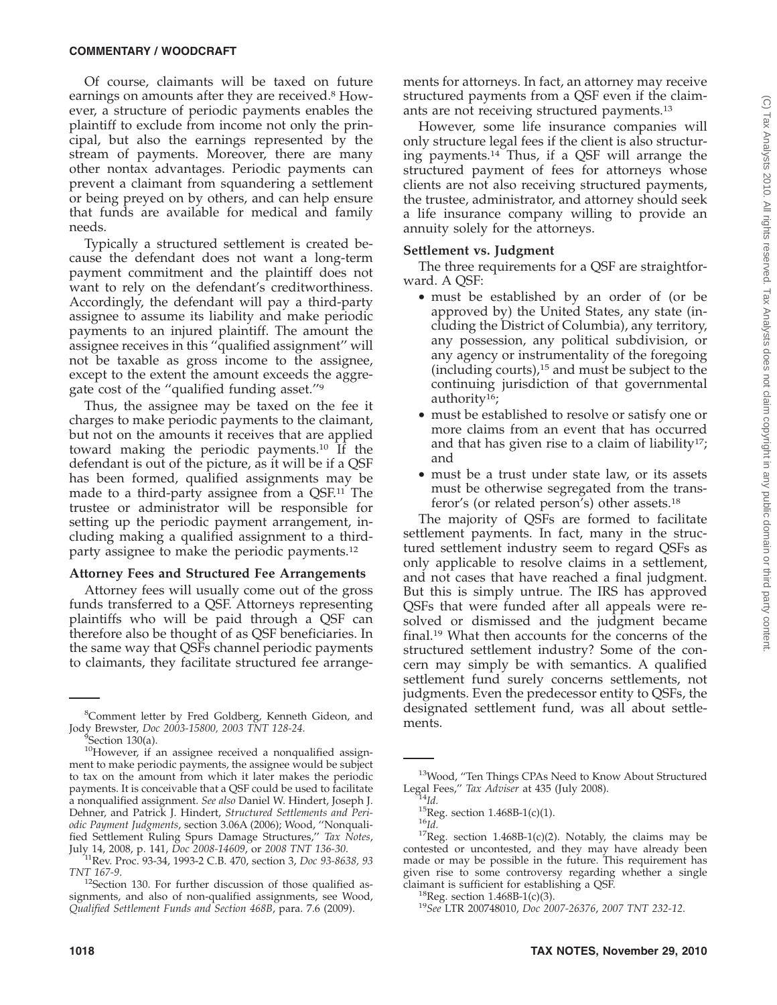Of course, claimants will be taxed on future earnings on amounts after they are received.<sup>8</sup> However, a structure of periodic payments enables the plaintiff to exclude from income not only the principal, but also the earnings represented by the stream of payments. Moreover, there are many other nontax advantages. Periodic payments can prevent a claimant from squandering a settlement or being preyed on by others, and can help ensure that funds are available for medical and family needs.

Typically a structured settlement is created because the defendant does not want a long-term payment commitment and the plaintiff does not want to rely on the defendant's creditworthiness. Accordingly, the defendant will pay a third-party assignee to assume its liability and make periodic payments to an injured plaintiff. The amount the assignee receives in this ''qualified assignment'' will not be taxable as gross income to the assignee, except to the extent the amount exceeds the aggregate cost of the ''qualified funding asset.''9

Thus, the assignee may be taxed on the fee it charges to make periodic payments to the claimant, but not on the amounts it receives that are applied toward making the periodic payments.10 If the defendant is out of the picture, as it will be if a QSF has been formed, qualified assignments may be made to a third-party assignee from a QSF.11 The trustee or administrator will be responsible for setting up the periodic payment arrangement, including making a qualified assignment to a thirdparty assignee to make the periodic payments.12

### **Attorney Fees and Structured Fee Arrangements**

Attorney fees will usually come out of the gross funds transferred to a QSF. Attorneys representing plaintiffs who will be paid through a QSF can therefore also be thought of as QSF beneficiaries. In the same way that QSFs channel periodic payments to claimants, they facilitate structured fee arrange-

Section  $130(a)$ .

ments for attorneys. In fact, an attorney may receive structured payments from a QSF even if the claimants are not receiving structured payments.13

However, some life insurance companies will only structure legal fees if the client is also structuring payments.14 Thus, if a QSF will arrange the structured payment of fees for attorneys whose clients are not also receiving structured payments, the trustee, administrator, and attorney should seek a life insurance company willing to provide an annuity solely for the attorneys.

#### **Settlement vs. Judgment**

The three requirements for a QSF are straightforward. A QSF:

- must be established by an order of (or be approved by) the United States, any state (including the District of Columbia), any territory, any possession, any political subdivision, or any agency or instrumentality of the foregoing (including courts), $15$  and must be subject to the continuing jurisdiction of that governmental authority16;
- must be established to resolve or satisfy one or more claims from an event that has occurred and that has given rise to a claim of liability $17$ ; and
- must be a trust under state law, or its assets must be otherwise segregated from the transferor's (or related person's) other assets.18

The majority of QSFs are formed to facilitate settlement payments. In fact, many in the structured settlement industry seem to regard QSFs as only applicable to resolve claims in a settlement, and not cases that have reached a final judgment. But this is simply untrue. The IRS has approved QSFs that were funded after all appeals were resolved or dismissed and the judgment became final.19 What then accounts for the concerns of the structured settlement industry? Some of the concern may simply be with semantics. A qualified settlement fund surely concerns settlements, not judgments. Even the predecessor entity to QSFs, the designated settlement fund, was all about settle-

 ${}^8$ Comment letter by Fred Goldberg, Kenneth Gideon, and  ${}^8$ Comments.<br>v Brewster, Doc 2003-15800, 2003 TNT 128-24. Jody Brewster, *Doc 2003-15800, 2003 TNT 128-24*. <sup>9</sup>

<sup>&</sup>lt;sup>10</sup>However, if an assignee received a nonqualified assignment to make periodic payments, the assignee would be subject to tax on the amount from which it later makes the periodic payments. It is conceivable that a QSF could be used to facilitate a nonqualified assignment. *See also* Daniel W. Hindert, Joseph J. Dehner, and Patrick J. Hindert, *Structured Settlements and Periodic Payment Judgments*, section 3.06A (2006); Wood, ''Nonqualified Settlement Ruling Spurs Damage Structures,'' *Tax Notes*,

July 14, 2008, p. 141, *Doc 2008-14609*, or *2008 TNT 136-30*. 11Rev. Proc. 93-34, 1993-2 C.B. 470, section 3, *Doc 93-8638, 93*

*TNT 167-9.*<br><sup>12</sup>Section 130. For further discussion of those qualified assignments, and also of non-qualified assignments, see Wood, *Qualified Settlement Funds and Section 468B*, para. 7.6 (2009).

<sup>13</sup>Wood, ''Ten Things CPAs Need to Know About Structured Legal Fees," *Tax Adviser* at 435 (July 2008).<br><sup>14</sup>*Id.* <sup>15</sup>Reg. section 1.468B-1(c)(1).<br><sup>15</sup>*Id.* <sup>17</sup>Reg. section 1.468B-1(c)(2). Notably, the claims may be <sup>17</sup>Reg.

contested or uncontested, and they may have already been made or may be possible in the future. This requirement has given rise to some controversy regarding whether a single claimant is sufficient for establishing a QSF.

<sup>&</sup>lt;sup>18</sup>Reg. section 1.468B-1(c)(3). <sup>18</sup>See LTR 200748010, *Doc 2007-26376*, *2007 TNT 232-12*.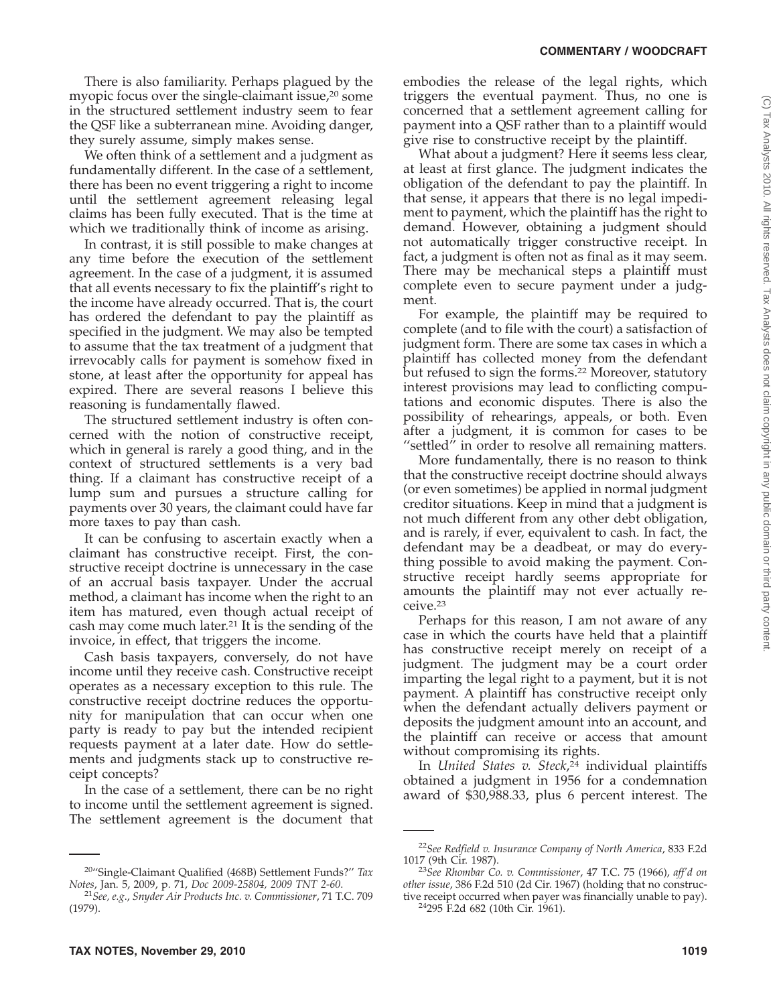There is also familiarity. Perhaps plagued by the myopic focus over the single-claimant issue,<sup>20</sup> some in the structured settlement industry seem to fear the QSF like a subterranean mine. Avoiding danger, they surely assume, simply makes sense.

We often think of a settlement and a judgment as fundamentally different. In the case of a settlement, there has been no event triggering a right to income until the settlement agreement releasing legal claims has been fully executed. That is the time at which we traditionally think of income as arising.

In contrast, it is still possible to make changes at any time before the execution of the settlement agreement. In the case of a judgment, it is assumed that all events necessary to fix the plaintiff's right to the income have already occurred. That is, the court has ordered the defendant to pay the plaintiff as specified in the judgment. We may also be tempted to assume that the tax treatment of a judgment that irrevocably calls for payment is somehow fixed in stone, at least after the opportunity for appeal has expired. There are several reasons I believe this reasoning is fundamentally flawed.

The structured settlement industry is often concerned with the notion of constructive receipt, which in general is rarely a good thing, and in the context of structured settlements is a very bad thing. If a claimant has constructive receipt of a lump sum and pursues a structure calling for payments over 30 years, the claimant could have far more taxes to pay than cash.

It can be confusing to ascertain exactly when a claimant has constructive receipt. First, the constructive receipt doctrine is unnecessary in the case of an accrual basis taxpayer. Under the accrual method, a claimant has income when the right to an item has matured, even though actual receipt of cash may come much later.<sup>21</sup> It is the sending of the invoice, in effect, that triggers the income.

Cash basis taxpayers, conversely, do not have income until they receive cash. Constructive receipt operates as a necessary exception to this rule. The constructive receipt doctrine reduces the opportunity for manipulation that can occur when one party is ready to pay but the intended recipient requests payment at a later date. How do settlements and judgments stack up to constructive receipt concepts?

In the case of a settlement, there can be no right to income until the settlement agreement is signed. The settlement agreement is the document that

embodies the release of the legal rights, which triggers the eventual payment. Thus, no one is concerned that a settlement agreement calling for payment into a QSF rather than to a plaintiff would give rise to constructive receipt by the plaintiff.

What about a judgment? Here it seems less clear, at least at first glance. The judgment indicates the obligation of the defendant to pay the plaintiff. In that sense, it appears that there is no legal impediment to payment, which the plaintiff has the right to demand. However, obtaining a judgment should not automatically trigger constructive receipt. In fact, a judgment is often not as final as it may seem. There may be mechanical steps a plaintiff must complete even to secure payment under a judgment.

For example, the plaintiff may be required to complete (and to file with the court) a satisfaction of judgment form. There are some tax cases in which a plaintiff has collected money from the defendant but refused to sign the forms.<sup>22</sup> Moreover, statutory interest provisions may lead to conflicting computations and economic disputes. There is also the possibility of rehearings, appeals, or both. Even after a judgment, it is common for cases to be "settled" in order to resolve all remaining matters.

More fundamentally, there is no reason to think that the constructive receipt doctrine should always (or even sometimes) be applied in normal judgment creditor situations. Keep in mind that a judgment is not much different from any other debt obligation, and is rarely, if ever, equivalent to cash. In fact, the defendant may be a deadbeat, or may do everything possible to avoid making the payment. Constructive receipt hardly seems appropriate for amounts the plaintiff may not ever actually receive.23

Perhaps for this reason, I am not aware of any case in which the courts have held that a plaintiff has constructive receipt merely on receipt of a judgment. The judgment may be a court order imparting the legal right to a payment, but it is not payment. A plaintiff has constructive receipt only when the defendant actually delivers payment or deposits the judgment amount into an account, and the plaintiff can receive or access that amount without compromising its rights.

In *United States v. Steck*, <sup>24</sup> individual plaintiffs obtained a judgment in 1956 for a condemnation award of \$30,988.33, plus 6 percent interest. The

<sup>&</sup>lt;sup>20</sup>"Single-Claimant Qualified (468B) Settlement Funds?" *Tax* Notes, Jan. 5, 2009, p. 71, *Doc* 2009-25804, 2009 *TNT* 2-60.

*Notes*, Jan. 5, 2009, p. 71, *Doc 2009-25804, 2009 TNT 2-60*. <sup>21</sup>*See, e.g*., *Snyder Air Products Inc. v. Commissioner*, 71 T.C. 709 (1979).

<sup>22</sup>*See Redfield v. Insurance Company of North America*, 833 F.2d

<sup>&</sup>lt;sup>23</sup> See Rhombar Co. v. Commissioner, 47 T.C. 75 (1966), aff'd on *other issue*, 386 F.2d 510 (2d Cir. 1967) (holding that no constructive receipt occurred when payer was financially unable to pay).<br><sup>24</sup>295 F.2d 682 (10th Cir. 1961).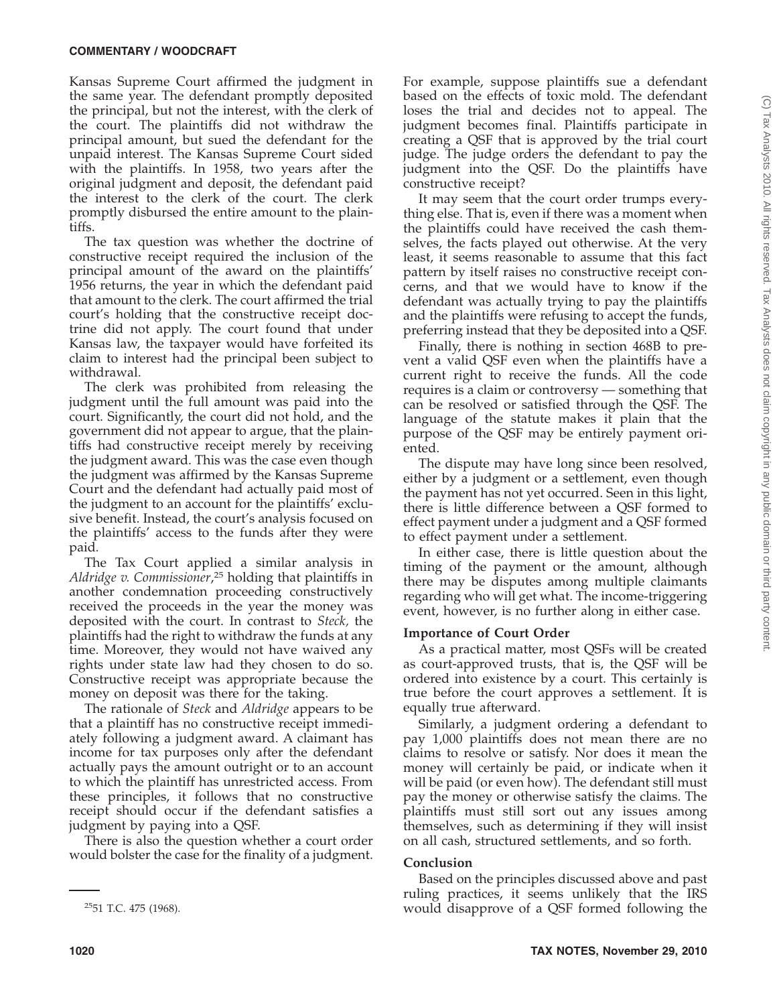Kansas Supreme Court affirmed the judgment in the same year. The defendant promptly deposited the principal, but not the interest, with the clerk of the court. The plaintiffs did not withdraw the principal amount, but sued the defendant for the unpaid interest. The Kansas Supreme Court sided with the plaintiffs. In 1958, two years after the original judgment and deposit, the defendant paid the interest to the clerk of the court. The clerk promptly disbursed the entire amount to the plaintiffs.

The tax question was whether the doctrine of constructive receipt required the inclusion of the principal amount of the award on the plaintiffs' 1956 returns, the year in which the defendant paid that amount to the clerk. The court affirmed the trial court's holding that the constructive receipt doctrine did not apply. The court found that under Kansas law, the taxpayer would have forfeited its claim to interest had the principal been subject to withdrawal.

The clerk was prohibited from releasing the judgment until the full amount was paid into the court. Significantly, the court did not hold, and the government did not appear to argue, that the plaintiffs had constructive receipt merely by receiving the judgment award. This was the case even though the judgment was affirmed by the Kansas Supreme Court and the defendant had actually paid most of the judgment to an account for the plaintiffs' exclusive benefit. Instead, the court's analysis focused on the plaintiffs' access to the funds after they were paid*.*

The Tax Court applied a similar analysis in *Aldridge v. Commissioner*, <sup>25</sup> holding that plaintiffs in another condemnation proceeding constructively received the proceeds in the year the money was deposited with the court. In contrast to *Steck,* the plaintiffs had the right to withdraw the funds at any time. Moreover, they would not have waived any rights under state law had they chosen to do so. Constructive receipt was appropriate because the money on deposit was there for the taking.

The rationale of *Steck* and *Aldridge* appears to be that a plaintiff has no constructive receipt immediately following a judgment award. A claimant has income for tax purposes only after the defendant actually pays the amount outright or to an account to which the plaintiff has unrestricted access. From these principles, it follows that no constructive receipt should occur if the defendant satisfies a judgment by paying into a QSF.

There is also the question whether a court order would bolster the case for the finality of a judgment.

It may seem that the court order trumps everything else. That is, even if there was a moment when the plaintiffs could have received the cash themselves, the facts played out otherwise. At the very least, it seems reasonable to assume that this fact pattern by itself raises no constructive receipt concerns, and that we would have to know if the defendant was actually trying to pay the plaintiffs and the plaintiffs were refusing to accept the funds, preferring instead that they be deposited into a QSF.

Finally, there is nothing in section 468B to prevent a valid QSF even when the plaintiffs have a current right to receive the funds. All the code requires is a claim or controversy — something that can be resolved or satisfied through the QSF. The language of the statute makes it plain that the purpose of the QSF may be entirely payment oriented.

The dispute may have long since been resolved, either by a judgment or a settlement, even though the payment has not yet occurred. Seen in this light, there is little difference between a QSF formed to effect payment under a judgment and a QSF formed to effect payment under a settlement.

In either case, there is little question about the timing of the payment or the amount, although there may be disputes among multiple claimants regarding who will get what. The income-triggering event, however, is no further along in either case.

## **Importance of Court Order**

As a practical matter, most QSFs will be created as court-approved trusts, that is, the QSF will be ordered into existence by a court. This certainly is true before the court approves a settlement. It is equally true afterward.

Similarly, a judgment ordering a defendant to pay 1,000 plaintiffs does not mean there are no claims to resolve or satisfy. Nor does it mean the money will certainly be paid, or indicate when it will be paid (or even how). The defendant still must pay the money or otherwise satisfy the claims. The plaintiffs must still sort out any issues among themselves, such as determining if they will insist on all cash, structured settlements, and so forth.

### **Conclusion**

Based on the principles discussed above and past ruling practices, it seems unlikely that the IRS  $^{25}$ 51 T.C. 475 (1968).  $\bullet$  would disapprove of a QSF formed following the